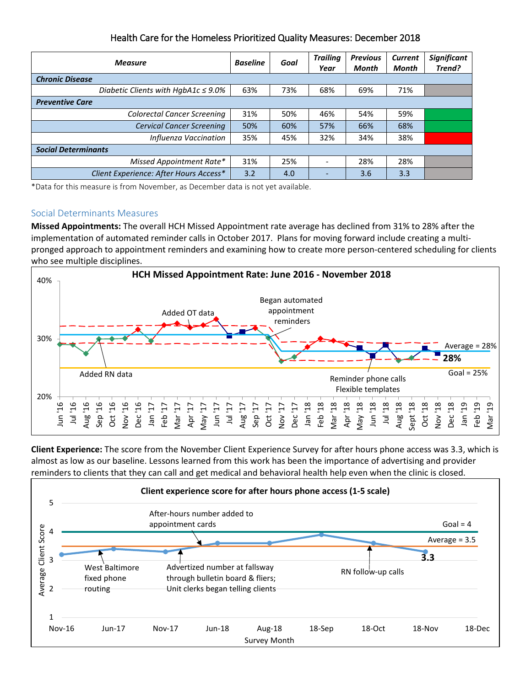| Health Care for the Homeless Prioritized Quality Measures: December 2018 |  |
|--------------------------------------------------------------------------|--|
|--------------------------------------------------------------------------|--|

| <b>Measure</b>                           | <b>Baseline</b> | Goal | <b>Trailing</b><br>Year | <b>Previous</b><br>Month | <b>Current</b><br>Month | <b>Significant</b><br>Trend? |
|------------------------------------------|-----------------|------|-------------------------|--------------------------|-------------------------|------------------------------|
| <b>Chronic Disease</b>                   |                 |      |                         |                          |                         |                              |
| Diabetic Clients with HgbA1c $\leq$ 9.0% | 63%             | 73%  | 68%                     | 69%                      | 71%                     |                              |
| <b>Preventive Care</b>                   |                 |      |                         |                          |                         |                              |
| <b>Colorectal Cancer Screening</b>       | 31%             | 50%  | 46%                     | 54%                      | 59%                     |                              |
| <b>Cervical Cancer Screening</b>         | 50%             | 60%  | 57%                     | 66%                      | 68%                     |                              |
| Influenza Vaccination                    | 35%             | 45%  | 32%                     | 34%                      | 38%                     |                              |
| <b>Social Determinants</b>               |                 |      |                         |                          |                         |                              |
| Missed Appointment Rate*                 | 31%             | 25%  |                         | 28%                      | 28%                     |                              |
| Client Experience: After Hours Access*   | 3.2             | 4.0  |                         | 3.6                      | 3.3                     |                              |

\*Data for this measure is from November, as December data is not yet available.

## Social Determinants Measures

**Missed Appointments:** The overall HCH Missed Appointment rate average has declined from 31% to 28% after the implementation of automated reminder calls in October 2017. Plans for moving forward include creating a multipronged approach to appointment reminders and examining how to create more person-centered scheduling for clients who see multiple disciplines.



**Client Experience:** The score from the November Client Experience Survey for after hours phone access was 3.3, which is almost as low as our baseline. Lessons learned from this work has been the importance of advertising and provider reminders to clients that they can call and get medical and behavioral health help even when the clinic is closed.

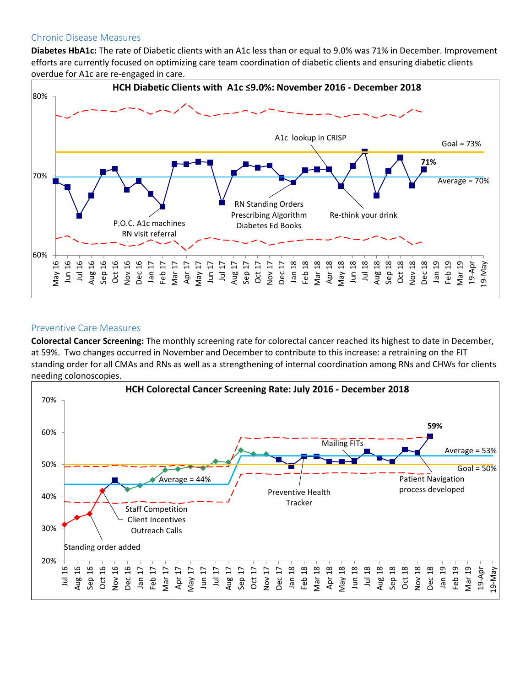## Chronic Disease Measures

**Diabetes HbA1c:** The rate of Diabetic clients with an A1c less than or equal to 9.0% was 71% in December. Improvement efforts are currently focused on optimizing care team coordination of diabetic clients and ensuring diabetic clients overdue for A1c are re-engaged in care.



## Preventive Care Measures

**Colorectal Cancer Screening:** The monthly screening rate for colorectal cancer reached its highest to date in December, at 59%. Two changes occurred in November and December to contribute to this increase: a retraining on the FIT standing order for all CMAs and RNs as well as a strengthening of internal coordination among RNs and CHWs for clients needing colonoscopies.